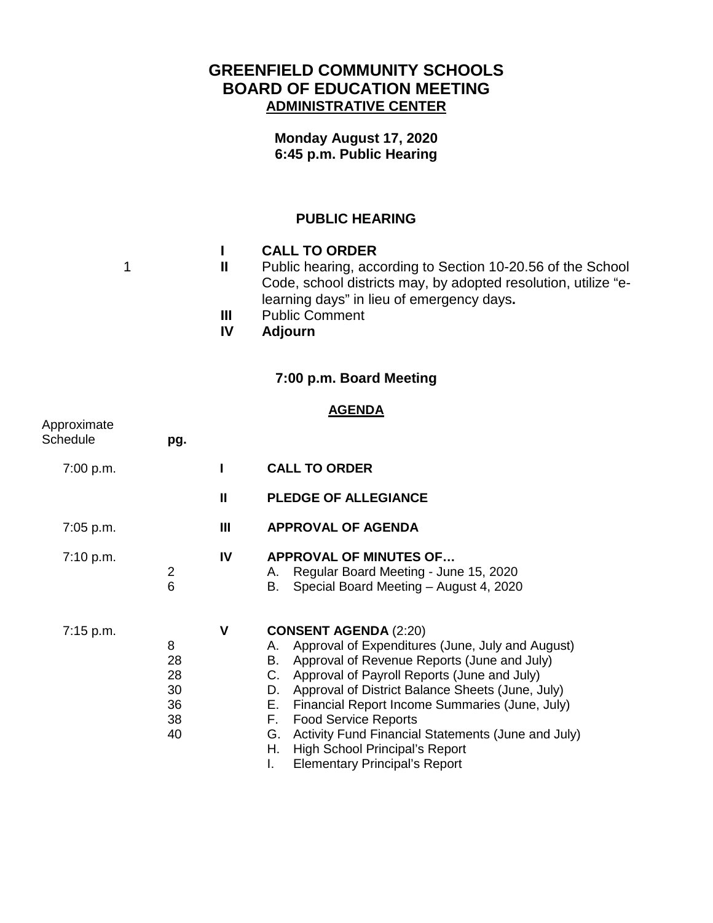# **GREENFIELD COMMUNITY SCHOOLS BOARD OF EDUCATION MEETING ADMINISTRATIVE CENTER**

**Monday August 17, 2020 6:45 p.m. Public Hearing**

### **PUBLIC HEARING**

|           | <b>CALL TO ORDER</b>                                           |
|-----------|----------------------------------------------------------------|
| ш         | Public hearing, according to Section 10-20.56 of the School    |
|           | Code, school districts may, by adopted resolution, utilize "e- |
|           | learning days" in lieu of emergency days.                      |
| Ш         | <b>Public Comment</b>                                          |
| <b>IV</b> | <b>Adjourn</b>                                                 |

## **7:00 p.m. Board Meeting**

#### **AGENDA**

| Approximate<br>Schedule | pg.                                   |              |                                                                                                                                                                                                                                                                                                                                                                                                                                                                                                               |
|-------------------------|---------------------------------------|--------------|---------------------------------------------------------------------------------------------------------------------------------------------------------------------------------------------------------------------------------------------------------------------------------------------------------------------------------------------------------------------------------------------------------------------------------------------------------------------------------------------------------------|
| 7:00 p.m.               |                                       |              | <b>CALL TO ORDER</b>                                                                                                                                                                                                                                                                                                                                                                                                                                                                                          |
|                         |                                       | $\mathbf{H}$ | <b>PLEDGE OF ALLEGIANCE</b>                                                                                                                                                                                                                                                                                                                                                                                                                                                                                   |
| 7:05 p.m.               |                                       | Ш            | <b>APPROVAL OF AGENDA</b>                                                                                                                                                                                                                                                                                                                                                                                                                                                                                     |
| 7:10 p.m.               | $\overline{2}$<br>6                   | IV           | <b>APPROVAL OF MINUTES OF</b><br>Regular Board Meeting - June 15, 2020<br>А.<br>Special Board Meeting - August 4, 2020<br>В.                                                                                                                                                                                                                                                                                                                                                                                  |
| $7:15$ p.m.             | 8<br>28<br>28<br>30<br>36<br>38<br>40 | V            | <b>CONSENT AGENDA (2:20)</b><br>A. Approval of Expenditures (June, July and August)<br>Approval of Revenue Reports (June and July)<br>В.<br>Approval of Payroll Reports (June and July)<br>C.<br>Approval of District Balance Sheets (June, July)<br>D.<br>Financial Report Income Summaries (June, July)<br>Е.<br>F.<br><b>Food Service Reports</b><br>Activity Fund Financial Statements (June and July)<br>G.<br><b>High School Principal's Report</b><br>Н.<br><b>Elementary Principal's Report</b><br>L. |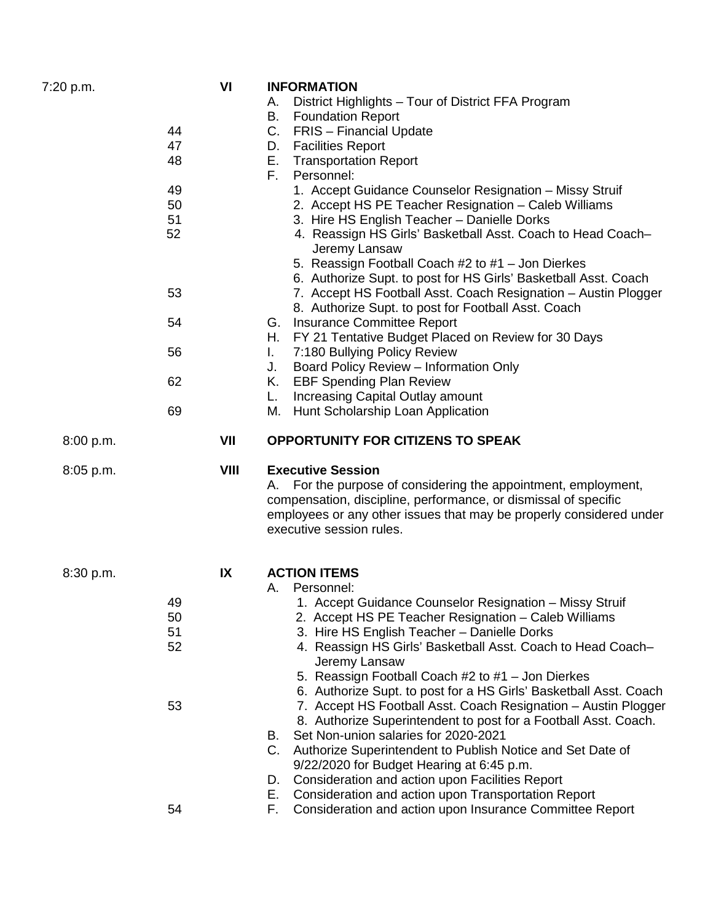| 7:20 p.m. | VI<br>44<br>47<br>48<br>49<br>50<br>51<br>52<br>53<br>54<br>56<br>62<br>69 | Ι. | <b>INFORMATION</b><br>District Highlights - Tour of District FFA Program<br>А.<br>В.<br><b>Foundation Report</b><br>C.<br><b>FRIS</b> - Financial Update<br><b>Facilities Report</b><br>D.<br>Е.<br><b>Transportation Report</b><br>F.<br>Personnel:<br>1. Accept Guidance Counselor Resignation - Missy Struif<br>2. Accept HS PE Teacher Resignation - Caleb Williams<br>3. Hire HS English Teacher - Danielle Dorks<br>4. Reassign HS Girls' Basketball Asst. Coach to Head Coach-<br>Jeremy Lansaw<br>5. Reassign Football Coach #2 to #1 - Jon Dierkes<br>6. Authorize Supt. to post for HS Girls' Basketball Asst. Coach<br>7. Accept HS Football Asst. Coach Resignation - Austin Plogger<br>8. Authorize Supt. to post for Football Asst. Coach<br>Insurance Committee Report<br>G.<br>FY 21 Tentative Budget Placed on Review for 30 Days<br>H.<br>7:180 Bullying Policy Review<br>Board Policy Review - Information Only<br>J.<br>K. EBF Spending Plan Review<br>Increasing Capital Outlay amount<br>L.<br>Hunt Scholarship Loan Application<br>М. |
|-----------|----------------------------------------------------------------------------|----|--------------------------------------------------------------------------------------------------------------------------------------------------------------------------------------------------------------------------------------------------------------------------------------------------------------------------------------------------------------------------------------------------------------------------------------------------------------------------------------------------------------------------------------------------------------------------------------------------------------------------------------------------------------------------------------------------------------------------------------------------------------------------------------------------------------------------------------------------------------------------------------------------------------------------------------------------------------------------------------------------------------------------------------------------------------|
| 8:00 p.m. | VII                                                                        |    | <b>OPPORTUNITY FOR CITIZENS TO SPEAK</b>                                                                                                                                                                                                                                                                                                                                                                                                                                                                                                                                                                                                                                                                                                                                                                                                                                                                                                                                                                                                                     |
| 8:05 p.m. | VIII                                                                       |    | <b>Executive Session</b><br>For the purpose of considering the appointment, employment,<br>А.<br>compensation, discipline, performance, or dismissal of specific<br>employees or any other issues that may be properly considered under<br>executive session rules.                                                                                                                                                                                                                                                                                                                                                                                                                                                                                                                                                                                                                                                                                                                                                                                          |
| 8:30 p.m. | IX<br>49<br>50<br>51<br>52<br>53<br>54                                     |    | <b>ACTION ITEMS</b><br>Personnel:<br>А.<br>1. Accept Guidance Counselor Resignation - Missy Struif<br>2. Accept HS PE Teacher Resignation - Caleb Williams<br>3. Hire HS English Teacher - Danielle Dorks<br>4. Reassign HS Girls' Basketball Asst. Coach to Head Coach-<br>Jeremy Lansaw<br>5. Reassign Football Coach #2 to #1 - Jon Dierkes<br>6. Authorize Supt. to post for a HS Girls' Basketball Asst. Coach<br>7. Accept HS Football Asst. Coach Resignation - Austin Plogger<br>8. Authorize Superintendent to post for a Football Asst. Coach.<br>Set Non-union salaries for 2020-2021<br>В.<br>$C_{1}$<br>Authorize Superintendent to Publish Notice and Set Date of<br>9/22/2020 for Budget Hearing at 6:45 p.m.<br>Consideration and action upon Facilities Report<br>D.<br>Consideration and action upon Transportation Report<br>Е.<br>Consideration and action upon Insurance Committee Report<br>Е.                                                                                                                                         |